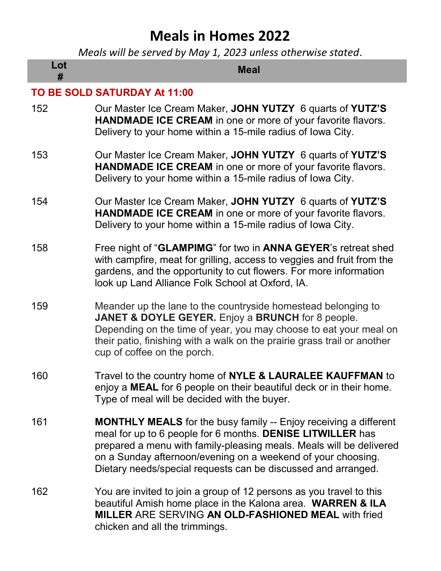## Meals in Homes 2022

Meals will be served by May 1, 2023 unless otherwise stated.

| Lot<br>#                            | <b>Meal</b>                                                                                                                                                                                                                                                                                                                                   |  |
|-------------------------------------|-----------------------------------------------------------------------------------------------------------------------------------------------------------------------------------------------------------------------------------------------------------------------------------------------------------------------------------------------|--|
| <b>TO BE SOLD SATURDAY At 11:00</b> |                                                                                                                                                                                                                                                                                                                                               |  |
| 152                                 | Our Master Ice Cream Maker, JOHN YUTZY 6 quarts of YUTZ'S<br><b>HANDMADE ICE CREAM</b> in one or more of your favorite flavors.<br>Delivery to your home within a 15-mile radius of Iowa City.                                                                                                                                                |  |
| 153                                 | Our Master Ice Cream Maker, JOHN YUTZY 6 quarts of YUTZ'S<br><b>HANDMADE ICE CREAM</b> in one or more of your favorite flavors.<br>Delivery to your home within a 15-mile radius of Iowa City.                                                                                                                                                |  |
| 154                                 | Our Master Ice Cream Maker, JOHN YUTZY 6 quarts of YUTZ'S<br><b>HANDMADE ICE CREAM</b> in one or more of your favorite flavors.<br>Delivery to your home within a 15-mile radius of Iowa City.                                                                                                                                                |  |
| 158                                 | Free night of "GLAMPIMG" for two in ANNA GEYER's retreat shed<br>with campfire, meat for grilling, access to veggies and fruit from the<br>gardens, and the opportunity to cut flowers. For more information<br>look up Land Alliance Folk School at Oxford, IA.                                                                              |  |
| 159                                 | Meander up the lane to the countryside homestead belonging to<br><b>JANET &amp; DOYLE GEYER.</b> Enjoy a <b>BRUNCH</b> for 8 people.<br>Depending on the time of year, you may choose to eat your meal on<br>their patio, finishing with a walk on the prairie grass trail or another<br>cup of coffee on the porch.                          |  |
| 160                                 | Travel to the country home of NYLE & LAURALEE KAUFFMAN to<br>enjoy a MEAL for 6 people on their beautiful deck or in their home.<br>Type of meal will be decided with the buyer.                                                                                                                                                              |  |
| 161                                 | <b>MONTHLY MEALS</b> for the busy family -- Enjoy receiving a different<br>meal for up to 6 people for 6 months. DENISE LITWILLER has<br>prepared a menu with family-pleasing meals. Meals will be delivered<br>on a Sunday afternoon/evening on a weekend of your choosing.<br>Dietary needs/special requests can be discussed and arranged. |  |
| 162                                 | You are invited to join a group of 12 persons as you travel to this<br>beautiful Amish home place in the Kalona area. WARREN & ILA<br><b>MILLER ARE SERVING AN OLD-FASHIONED MEAL with fried</b><br>chicken and all the trimmings.                                                                                                            |  |